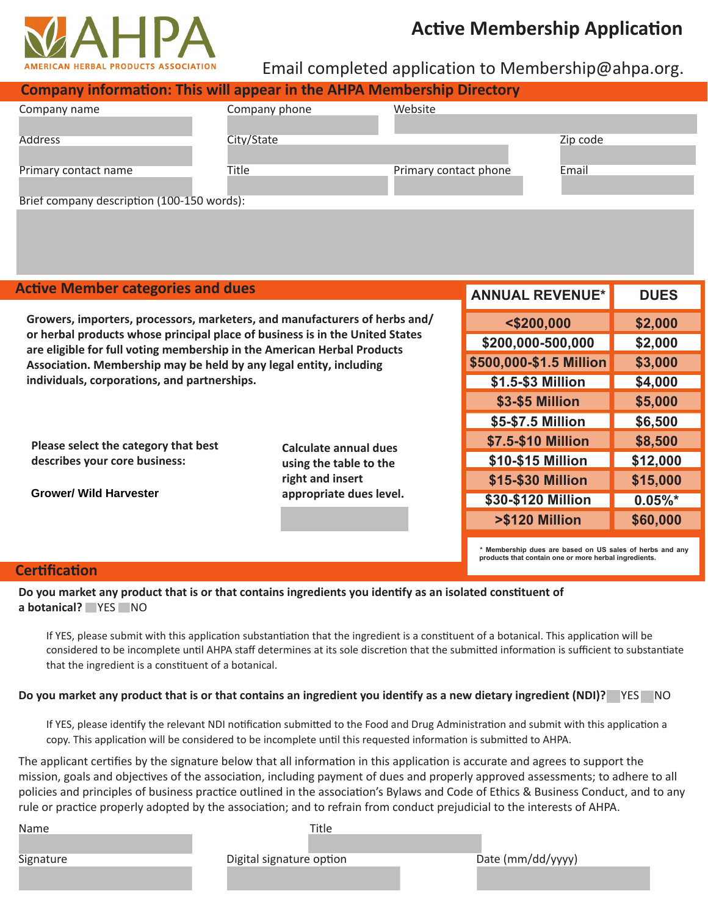

# **Active Membership Application**

## Email completed application to [Membership@ahpa.org.](mailto:membership@ahpa.org)

| <b>Company information: This will appear in the AHPA Membership Directory</b> |               |                       |          |  |  |  |
|-------------------------------------------------------------------------------|---------------|-----------------------|----------|--|--|--|
| Company name                                                                  | Company phone | Website               |          |  |  |  |
|                                                                               |               |                       |          |  |  |  |
| <b>Address</b>                                                                | City/State    |                       | Zip code |  |  |  |
|                                                                               |               |                       |          |  |  |  |
| Primary contact name                                                          | Title         | Primary contact phone | Email    |  |  |  |
|                                                                               |               |                       |          |  |  |  |
| Brief company description (100-150 words):                                    |               |                       |          |  |  |  |

| <b>Active Member categories and dues</b>                                                                                                                                                                                                                                      |                                                                     | <b>ANNUAL REVENUE*</b>                                                                                            | <b>DUES</b> |
|-------------------------------------------------------------------------------------------------------------------------------------------------------------------------------------------------------------------------------------------------------------------------------|---------------------------------------------------------------------|-------------------------------------------------------------------------------------------------------------------|-------------|
| Growers, importers, processors, marketers, and manufacturers of herbs and/                                                                                                                                                                                                    | $<$ \$200,000                                                       | \$2,000                                                                                                           |             |
| or herbal products whose principal place of business is in the United States<br>are eligible for full voting membership in the American Herbal Products<br>Association. Membership may be held by any legal entity, including<br>individuals, corporations, and partnerships. |                                                                     | \$200,000-500,000                                                                                                 | \$2,000     |
|                                                                                                                                                                                                                                                                               |                                                                     | \$500,000-\$1.5 Million                                                                                           | \$3,000     |
|                                                                                                                                                                                                                                                                               |                                                                     | \$1.5-\$3 Million                                                                                                 | \$4,000     |
|                                                                                                                                                                                                                                                                               | Calculate annual dues<br>using the table to the<br>right and insert | \$3-\$5 Million                                                                                                   | \$5,000     |
|                                                                                                                                                                                                                                                                               |                                                                     | \$5-\$7.5 Million                                                                                                 | \$6,500     |
| Please select the category that best<br>describes your core business:<br><b>Grower/ Wild Harvester</b>                                                                                                                                                                        |                                                                     | \$7.5-\$10 Million                                                                                                | \$8,500     |
|                                                                                                                                                                                                                                                                               |                                                                     | \$10-\$15 Million                                                                                                 | \$12,000    |
|                                                                                                                                                                                                                                                                               |                                                                     | \$15-\$30 Million                                                                                                 | \$15,000    |
|                                                                                                                                                                                                                                                                               | appropriate dues level.                                             | \$30-\$120 Million                                                                                                | $0.05\%$ *  |
|                                                                                                                                                                                                                                                                               |                                                                     | >\$120 Million                                                                                                    | \$60,000    |
|                                                                                                                                                                                                                                                                               |                                                                     | * Membership dues are based on US sales of herbs and any<br>products that contain one or more herbal ingredients. |             |

### **Certification**

#### **Do you market any product that is or that contains ingredients you identify as an isolated constituent of a botanical? PYES** NO

If YES, please submit with this application substantiation that the ingredient is a constituent of a botanical. This application will be considered to be incomplete until AHPA staff determines at its sole discretion that the submitted information is sufficient to substantiate that the ingredient is a constituent of a botanical.

#### **Do you market any product that is or that contains an ingredient you identify as a new dietary ingredient (NDI)?** ☐ YES ☐ NO

If YES, please identify the relevant NDI notification submitted to the Food and Drug Administration and submit with this application a copy. This application will be considered to be incomplete until this requested information is submitted to AHPA.

The applicant certifies by the signature below that all information in this application is accurate and agrees to support the mission, goals and objectives of the association, including payment of dues and properly approved assessments; to adhere to all policies and principles of business practice outlined in the association's Bylaws and Code of Ethics & Business Conduct, and to any rule or practice properly adopted by the association; and to refrain from conduct prejudicial to the interests of AHPA.

|--|

| Name      | Title                    |                   |
|-----------|--------------------------|-------------------|
| Signature | Digital signature option | Date (mm/dd/yyyy) |
|           |                          |                   |